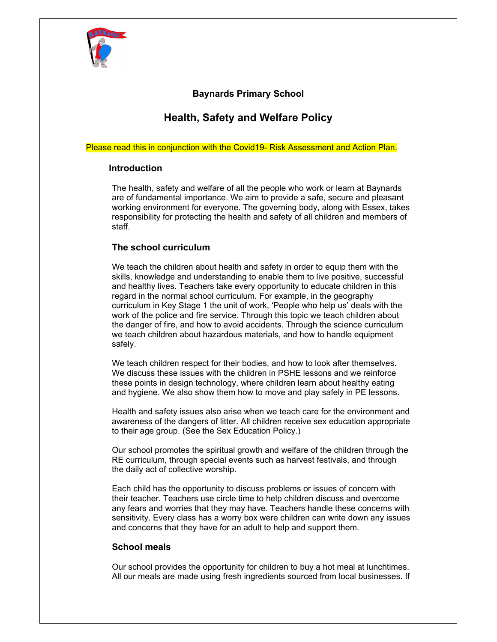

## **Baynards Primary School**

# **Health, Safety and Welfare Policy**

Please read this in conjunction with the Covid19- Risk Assessment and Action Plan.

#### **Introduction**

 The health, safety and welfare of all the people who work or learn at Baynards are of fundamental importance. We aim to provide a safe, secure and pleasant working environment for everyone. The governing body, along with Essex, takes responsibility for protecting the health and safety of all children and members of staff.

## **The school curriculum**

 We teach the children about health and safety in order to equip them with the skills, knowledge and understanding to enable them to live positive, successful and healthy lives. Teachers take every opportunity to educate children in this regard in the normal school curriculum. For example, in the geography curriculum in Key Stage 1 the unit of work, 'People who help us' deals with the work of the police and fire service. Through this topic we teach children about the danger of fire, and how to avoid accidents. Through the science curriculum we teach children about hazardous materials, and how to handle equipment safely.

 We teach children respect for their bodies, and how to look after themselves. We discuss these issues with the children in PSHE lessons and we reinforce these points in design technology, where children learn about healthy eating and hygiene. We also show them how to move and play safely in PE lessons.

 Health and safety issues also arise when we teach care for the environment and awareness of the dangers of litter. All children receive sex education appropriate to their age group. (See the Sex Education Policy.)

 Our school promotes the spiritual growth and welfare of the children through the RE curriculum, through special events such as harvest festivals, and through the daily act of collective worship.

 Each child has the opportunity to discuss problems or issues of concern with their teacher. Teachers use circle time to help children discuss and overcome any fears and worries that they may have. Teachers handle these concerns with sensitivity. Every class has a worry box were children can write down any issues and concerns that they have for an adult to help and support them.

## **School meals**

 Our school provides the opportunity for children to buy a hot meal at lunchtimes. All our meals are made using fresh ingredients sourced from local businesses. If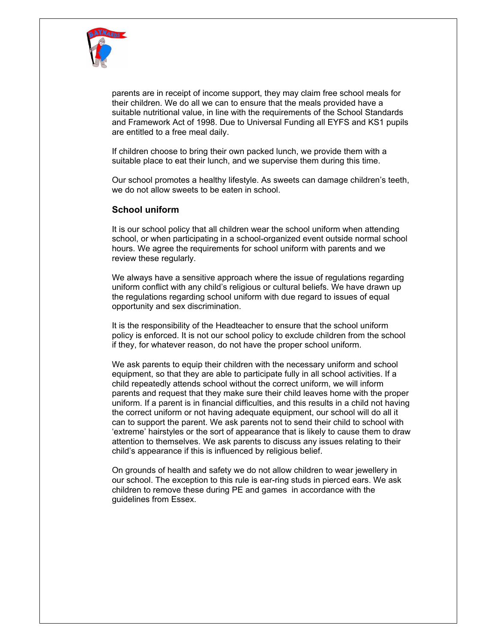

parents are in receipt of income support, they may claim free school meals for their children. We do all we can to ensure that the meals provided have a suitable nutritional value, in line with the requirements of the School Standards and Framework Act of 1998. Due to Universal Funding all EYFS and KS1 pupils are entitled to a free meal daily.

 If children choose to bring their own packed lunch, we provide them with a suitable place to eat their lunch, and we supervise them during this time.

 Our school promotes a healthy lifestyle. As sweets can damage children's teeth, we do not allow sweets to be eaten in school.

#### **School uniform**

 It is our school policy that all children wear the school uniform when attending school, or when participating in a school-organized event outside normal school hours. We agree the requirements for school uniform with parents and we review these regularly.

 We always have a sensitive approach where the issue of regulations regarding uniform conflict with any child's religious or cultural beliefs. We have drawn up the regulations regarding school uniform with due regard to issues of equal opportunity and sex discrimination.

 It is the responsibility of the Headteacher to ensure that the school uniform policy is enforced. It is not our school policy to exclude children from the school if they, for whatever reason, do not have the proper school uniform.

 We ask parents to equip their children with the necessary uniform and school equipment, so that they are able to participate fully in all school activities. If a child repeatedly attends school without the correct uniform, we will inform parents and request that they make sure their child leaves home with the proper uniform. If a parent is in financial difficulties, and this results in a child not having the correct uniform or not having adequate equipment, our school will do all it can to support the parent. We ask parents not to send their child to school with 'extreme' hairstyles or the sort of appearance that is likely to cause them to draw attention to themselves. We ask parents to discuss any issues relating to their child's appearance if this is influenced by religious belief.

 On grounds of health and safety we do not allow children to wear jewellery in our school. The exception to this rule is ear-ring studs in pierced ears. We ask children to remove these during PE and games in accordance with the guidelines from Essex.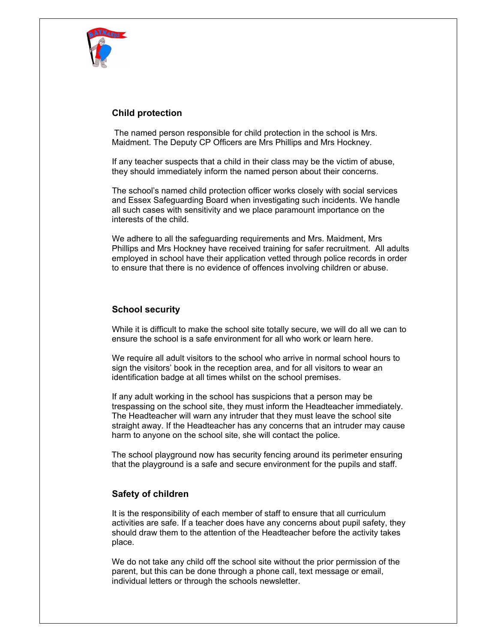

## **Child protection**

 The named person responsible for child protection in the school is Mrs. Maidment. The Deputy CP Officers are Mrs Phillips and Mrs Hockney.

 If any teacher suspects that a child in their class may be the victim of abuse, they should immediately inform the named person about their concerns.

 The school's named child protection officer works closely with social services and Essex Safeguarding Board when investigating such incidents. We handle all such cases with sensitivity and we place paramount importance on the interests of the child.

 We adhere to all the safeguarding requirements and Mrs. Maidment, Mrs Phillips and Mrs Hockney have received training for safer recruitment. All adults employed in school have their application vetted through police records in order to ensure that there is no evidence of offences involving children or abuse.

## **School security**

 While it is difficult to make the school site totally secure, we will do all we can to ensure the school is a safe environment for all who work or learn here.

 We require all adult visitors to the school who arrive in normal school hours to sign the visitors' book in the reception area, and for all visitors to wear an identification badge at all times whilst on the school premises.

 If any adult working in the school has suspicions that a person may be trespassing on the school site, they must inform the Headteacher immediately. The Headteacher will warn any intruder that they must leave the school site straight away. If the Headteacher has any concerns that an intruder may cause harm to anyone on the school site, she will contact the police.

 The school playground now has security fencing around its perimeter ensuring that the playground is a safe and secure environment for the pupils and staff.

## **Safety of children**

 It is the responsibility of each member of staff to ensure that all curriculum activities are safe. If a teacher does have any concerns about pupil safety, they should draw them to the attention of the Headteacher before the activity takes place.

We do not take any child off the school site without the prior permission of the parent, but this can be done through a phone call, text message or email, individual letters or through the schools newsletter.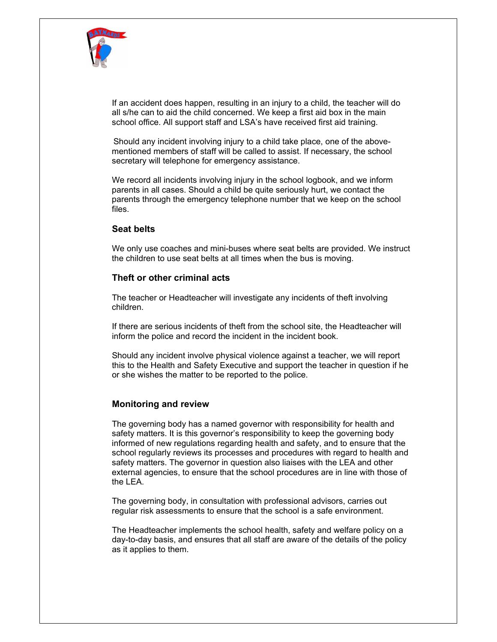

 If an accident does happen, resulting in an injury to a child, the teacher will do all s/he can to aid the child concerned. We keep a first aid box in the main school office. All support staff and LSA's have received first aid training.

 Should any incident involving injury to a child take place, one of the abovementioned members of staff will be called to assist. If necessary, the school secretary will telephone for emergency assistance.

 We record all incidents involving injury in the school logbook, and we inform parents in all cases. Should a child be quite seriously hurt, we contact the parents through the emergency telephone number that we keep on the school files.

#### **Seat belts**

 We only use coaches and mini-buses where seat belts are provided. We instruct the children to use seat belts at all times when the bus is moving.

#### **Theft or other criminal acts**

 The teacher or Headteacher will investigate any incidents of theft involving children.

 If there are serious incidents of theft from the school site, the Headteacher will inform the police and record the incident in the incident book.

 Should any incident involve physical violence against a teacher, we will report this to the Health and Safety Executive and support the teacher in question if he or she wishes the matter to be reported to the police.

#### **Monitoring and review**

 The governing body has a named governor with responsibility for health and safety matters. It is this governor's responsibility to keep the governing body informed of new regulations regarding health and safety, and to ensure that the school regularly reviews its processes and procedures with regard to health and safety matters. The governor in question also liaises with the LEA and other external agencies, to ensure that the school procedures are in line with those of the LEA.

 The governing body, in consultation with professional advisors, carries out regular risk assessments to ensure that the school is a safe environment.

 The Headteacher implements the school health, safety and welfare policy on a day-to-day basis, and ensures that all staff are aware of the details of the policy as it applies to them.